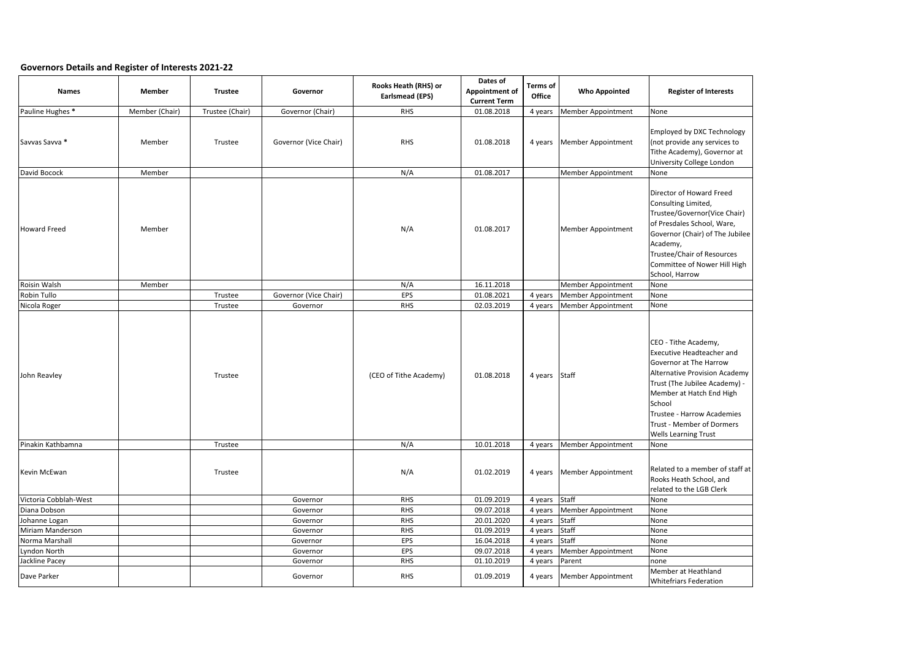## **Governors Details and Register of Interests 2021-22**

| <b>Names</b>          | <b>Member</b>  | <b>Trustee</b>  | Governor              | <b>Rooks Heath (RHS) or</b><br><b>Earlsmead (EPS)</b> | Dates of<br><b>Appointment of</b><br><b>Current Term</b> | <b>Terms of</b><br><b>Office</b> | <b>Who Appointed</b>         | <b>Register of Interests</b>                                                                                                                                                                                                                                                                              |
|-----------------------|----------------|-----------------|-----------------------|-------------------------------------------------------|----------------------------------------------------------|----------------------------------|------------------------------|-----------------------------------------------------------------------------------------------------------------------------------------------------------------------------------------------------------------------------------------------------------------------------------------------------------|
| Pauline Hughes *      | Member (Chair) | Trustee (Chair) | Governor (Chair)      | <b>RHS</b>                                            | 01.08.2018                                               | 4 years                          | Member Appointment           | None                                                                                                                                                                                                                                                                                                      |
| Savvas Savva *        | Member         | Trustee         | Governor (Vice Chair) | <b>RHS</b>                                            | 01.08.2018                                               | 4 years                          | Member Appointment           | Employed by DXC Technology<br>(not provide any services to<br>Tithe Academy), Governor at<br>University College London                                                                                                                                                                                    |
| David Bocock          | Member         |                 |                       | N/A                                                   | 01.08.2017                                               |                                  | Member Appointment           | None                                                                                                                                                                                                                                                                                                      |
| Howard Freed          | Member         |                 |                       | N/A                                                   | 01.08.2017                                               |                                  | Member Appointment           | Director of Howard Freed<br>Consulting Limited,<br>Trustee/Governor(Vice Chair)<br>of Presdales School, Ware,<br>Governor (Chair) of The Jubilee<br>Academy,<br><b>Trustee/Chair of Resources</b><br>Committee of Nower Hill High<br>School, Harrow                                                       |
| Roisin Walsh          | Member         |                 |                       | N/A                                                   | 16.11.2018                                               |                                  | Member Appointment           | None                                                                                                                                                                                                                                                                                                      |
| Robin Tullo           |                | Trustee         | Governor (Vice Chair) | EPS                                                   | 01.08.2021                                               | 4 years                          | <b>Member Appointment</b>    | None                                                                                                                                                                                                                                                                                                      |
| Nicola Roger          |                | Trustee         | Governor              | <b>RHS</b>                                            | 02.03.2019                                               | 4 years                          | Member Appointment           | None                                                                                                                                                                                                                                                                                                      |
| John Reavley          |                | Trustee         |                       | (CEO of Tithe Academy)                                | 01.08.2018                                               | 4 years Staff                    |                              | CEO - Tithe Academy,<br><b>Executive Headteacher and</b><br>Governor at The Harrow<br><b>Alternative Provision Academy</b><br>Trust (The Jubilee Academy) -<br>Member at Hatch End High<br>School<br><b>Trustee - Harrow Academies</b><br><b>Trust - Member of Dormers</b><br><b>Wells Learning Trust</b> |
| Pinakin Kathbamna     |                | Trustee         |                       | N/A                                                   | 10.01.2018                                               |                                  | 4 years   Member Appointment | None                                                                                                                                                                                                                                                                                                      |
| Kevin McEwan          |                | Trustee         |                       | N/A                                                   | 01.02.2019                                               |                                  | 4 years Member Appointment   | Related to a member of staff at<br>Rooks Heath School, and<br>related to the LGB Clerk                                                                                                                                                                                                                    |
| Victoria Cobblah-West |                |                 | Governor              | <b>RHS</b>                                            | 01.09.2019                                               | 4 years Staff                    |                              | None                                                                                                                                                                                                                                                                                                      |
| Diana Dobson          |                |                 | Governor              | <b>RHS</b>                                            | 09.07.2018                                               | 4 years                          | <b>Member Appointment</b>    | None                                                                                                                                                                                                                                                                                                      |
| Johanne Logan         |                |                 | Governor              | <b>RHS</b>                                            | 20.01.2020                                               | 4 years                          | <b>Staff</b>                 | None                                                                                                                                                                                                                                                                                                      |
| Miriam Manderson      |                |                 | Governor              | <b>RHS</b>                                            | 01.09.2019                                               | 4 years                          | Staff                        | None                                                                                                                                                                                                                                                                                                      |
| Norma Marshall        |                |                 | Governor              | <b>EPS</b>                                            | 16.04.2018                                               | 4 years Staff                    |                              | None                                                                                                                                                                                                                                                                                                      |
| Lyndon North          |                |                 | Governor              | <b>EPS</b>                                            | 09.07.2018                                               | 4 years                          | Member Appointment           | None                                                                                                                                                                                                                                                                                                      |
| Jackline Pacey        |                |                 | Governor              | <b>RHS</b>                                            | 01.10.2019                                               | 4 years Parent                   |                              | none                                                                                                                                                                                                                                                                                                      |
| Dave Parker           |                |                 | Governor              | <b>RHS</b>                                            | 01.09.2019                                               |                                  | 4 years Member Appointment   | Member at Heathland<br><b>Whitefriars Federation</b>                                                                                                                                                                                                                                                      |